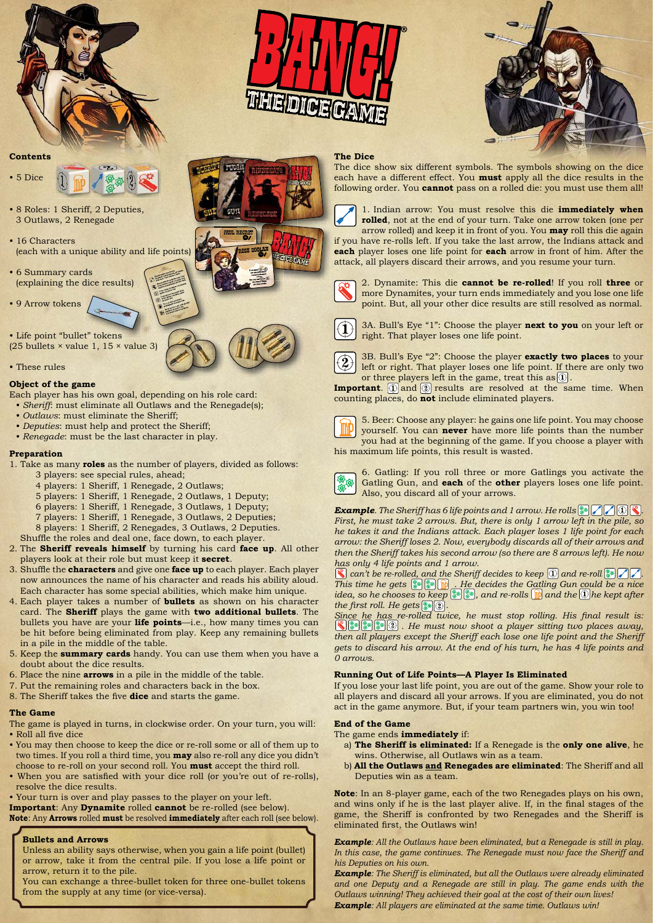





#### **Contents**



- 8 Roles: 1 Sheriff, 2 Deputies, 3 Outlaws, 2 Renegade
- 16 Characters (each with a unique ability and life points)
- 6 Summary cards (explaining the dice results)
- 9 Arrow tokens

• Life point "bullet" tokens (25 bullets  $\times$  value 1, 15  $\times$  value 3)

• These rules

#### **Object of the game**

- Each player has his own goal, depending on his role card:
- *Sheriff*: must eliminate all Outlaws and the Renegade(s);
- *Outlaws*: must eliminate the Sheriff;
- *Deputies*: must help and protect the Sheriff; • *Renegade*: must be the last character in play.

### **Preparation**

- 1. Take as many **roles** as the number of players, divided as follows: 3 players: see special rules, ahead;
	- 4 players: 1 Sheriff, 1 Renegade, 2 Outlaws;
	- 5 players: 1 Sheriff, 1 Renegade, 2 Outlaws, 1 Deputy;
	- 6 players: 1 Sheriff, 1 Renegade, 3 Outlaws, 1 Deputy;
	- 7 players: 1 Sheriff, 1 Renegade, 3 Outlaws, 2 Deputies;
	- 8 players: 1 Sheriff, 2 Renegades, 3 Outlaws, 2 Deputies.
- Shuffle the roles and deal one, face down, to each player.
- 2. The **Sheriff reveals himself** by turning his card **face up**. All other players look at their role but must keep it **secret**.
- 3. Shuffle the **characters** and give one **face up** to each player. Each player now announces the name of his character and reads his ability aloud. Each character has some special abilities, which make him unique.
- 4. Each player takes a number of **bullets** as shown on his character card. The **Sheriff** plays the game with **two additional bullets**. The bullets you have are your **life points**—i.e., how many times you can be hit before being eliminated from play. Keep any remaining bullets in a pile in the middle of the table.
- 5. Keep the **summary cards** handy. You can use them when you have a doubt about the dice results.
- 6. Place the nine **arrows** in a pile in the middle of the table.
- 7. Put the remaining roles and characters back in the box.
- 8. The Sheriff takes the five **dice** and starts the game.

#### **The Game**

- The game is played in turns, in clockwise order. On your turn, you will: • Roll all five dice
- You may then choose to keep the dice or re-roll some or all of them up to two times. If you roll a third time, you **may** also re-roll any dice you didn't choose to re-roll on your second roll. You **must** accept the third roll.
- When you are satisfied with your dice roll (or you're out of re-rolls), resolve the dice results.

• Your turn is over and play passes to the player on your left. **Important**: Any **Dynamite** rolled **cannot** be re-rolled (see below).

**Note**: Any **Arrows** rolled **must** be resolved **immediately** after each roll (see below).

#### **Bullets and Arrows**

Unless an ability says otherwise, when you gain a life point (bullet) or arrow, take it from the central pile. If you lose a life point or arrow, return it to the pile.

You can exchange a three-bullet token for three one-bullet tokens from the supply at any time (or vice-versa).

#### **The Dice**

The dice show six different symbols. The symbols showing on the dice each have a different effect. You **must** apply all the dice results in the following order. You **cannot** pass on a rolled die: you must use them all!



1. Indian arrow: You must resolve this die **immediately when rolled**, not at the end of your turn. Take one arrow token (one per

arrow rolled) and keep it in front of you. You **may** roll this die again if you have re-rolls left. If you take the last arrow, the Indians attack and **each** player loses one life point for **each** arrow in front of him. After the attack, all players discard their arrows, and you resume your turn.



2. Dynamite: This die **cannot be re-rolled**! If you roll **three** or more Dynamites, your turn ends immediately and you lose one life point. But, all your other dice results are still resolved as normal.



3A. Bull's Eye "1": Choose the player **next to you** on your left or right. That player loses one life point.



3B. Bull's Eye "2": Choose the player **exactly two places** to your left or right. That player loses one life point. If there are only two or three players left in the game, treat this as  $\circledR$ .

**Important**. **(1)** and **2**) results are resolved at the same time. When counting places, do **not** include eliminated players.



5. Beer: Choose any player: he gains one life point. You may choose yourself. You can **never** have more life points than the number you had at the beginning of the game. If you choose a player with his maximum life points, this result is wasted.



6. Gatling: If you roll three or more Gatlings you activate the Gatling Gun, and **each** of the **other** players loses one life point. Also, you discard all of your arrows.

*Example. The Sheriff has 6 life points and 1 arrow. He rolls* **...**  $\mathbb{Z}[\mathbb{Z}[\mathbb{Z}]\mathbb{R}].$ *First, he must take 2 arrows. But, there is only 1 arrow left in the pile, so he takes it and the Indians attack. Each player loses 1 life point for each arrow: the Sheriff loses 2. Now, everybody discards all of their arrows and then the Sheriff takes his second arrow (so there are 8 arrows left). He now has only 4 life points and 1 arrow.*

 $\mathbb S$  can't be re-rolled, and the Sheriff decides to keep  $\textcircled{\small{1}}$  and re-roll  $\textcircled{\small{2}}$  . *This time he gets*  $\|\cdot\|$ ,  $\|\cdot\|$  *He decides the Gatling Gun could be a nice idea, so he chooses to keep*  $\mathbb{R}^n$ , and re-rolls **n** and the  $\mathbb{Q}$  he kept after *the first roll. He gets*  $\left[\frac{2}{3} \cdot \cdot \cdot \cdot \right]$ .

*Since he has re-rolled twice, he must stop rolling. His final result is: . He must now shoot a player sitting two places away,*  then all players except the Sheriff each lose one life point and the Sheriff *gets to discard his arrow. At the end of his turn, he has 4 life points and 0 arrows.*

### **Running Out of Life Points—A Player Is Eliminated**

If you lose your last life point, you are out of the game. Show your role to all players and discard all your arrows. If you are eliminated, you do not act in the game anymore. But, if your team partners win, you win too!

#### **End of the Game**

The game ends **immediately** if:

- a) **The Sheriff is eliminated:** If a Renegade is the **only one alive**, he wins. Otherwise, all Outlaws win as a team.
- b) **All the Outlaws and Renegades are eliminated**: The Sheriff and all Deputies win as a team.

**Note**: In an 8-player game, each of the two Renegades plays on his own, and wins only if he is the last player alive. If, in the final stages of the game, the Sheriff is confronted by two Renegades and the Sheriff is eliminated first, the Outlaws win!

*Example: All the Outlaws have been eliminated, but a Renegade is still in play. In this case, the game continues. The Renegade must now face the Sheriff and his Deputies on his own.*

*Example: The Sheriff is eliminated, but all the Outlaws were already eliminated*  and one Deputy and a Renegade are still in play. The game ends with the *Outlaws winning! They achieved their goal at the cost of their own lives! Example: All players are eliminated at the same time. Outlaws win!*